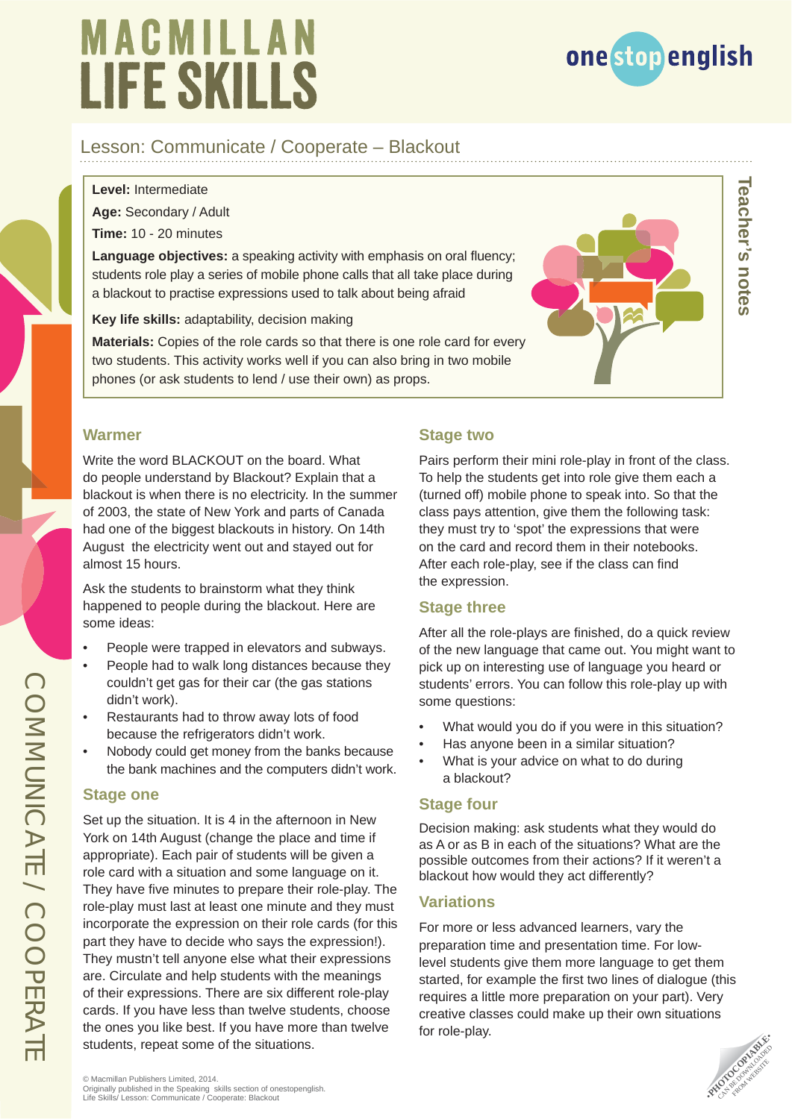# MACMILLAN **LIFE SKILLS**



**Teacher's notes**

leacher's notes

### Lesson: Communicate / Cooperate – Blackout

**Level:** Intermediate

**Age:** Secondary / Adult

**Time:** 10 - 20 minutes

**Language objectives:** a speaking activity with emphasis on oral fluency; students role play a series of mobile phone calls that all take place during a blackout to practise expressions used to talk about being afraid

**Key life skills:** adaptability, decision making

**Materials:** Copies of the role cards so that there is one role card for every two students. This activity works well if you can also bring in two mobile phones (or ask students to lend / use their own) as props.

### **Warmer**

Write the word BLACKOUT on the board. What do people understand by Blackout? Explain that a blackout is when there is no electricity. In the summer of 2003, the state of New York and parts of Canada had one of the biggest blackouts in history. On 14th August the electricity went out and stayed out for almost 15 hours.

Ask the students to brainstorm what they think happened to people during the blackout. Here are some ideas:

- People were trapped in elevators and subways.
- People had to walk long distances because they couldn't get gas for their car (the gas stations didn't work).
- Restaurants had to throw away lots of food because the refrigerators didn't work.
- Nobody could get money from the banks because the bank machines and the computers didn't work.

#### **Stage one**

Set up the situation. It is 4 in the afternoon in New York on 14th August (change the place and time if appropriate). Each pair of students will be given a role card with a situation and some language on it. They have five minutes to prepare their role-play. The role-play must last at least one minute and they must incorporate the expression on their role cards (for this part they have to decide who says the expression!). They mustn't tell anyone else what their expressions are. Circulate and help students with the meanings of their expressions. There are six different role-play cards. If you have less than twelve students, choose the ones you like best. If you have more than twelve students, repeat some of the situations.

### **Stage two**

Pairs perform their mini role-play in front of the class. To help the students get into role give them each a (turned off) mobile phone to speak into. So that the class pays attention, give them the following task: they must try to 'spot' the expressions that were on the card and record them in their notebooks. After each role-play, see if the class can find the expression.

### **Stage three**

After all the role-plays are finished, do a quick review of the new language that came out. You might want to pick up on interesting use of language you heard or students' errors. You can follow this role-play up with some questions:

- What would you do if you were in this situation?
- Has anyone been in a similar situation?
- What is your advice on what to do during a blackout?

### **Stage four**

Decision making: ask students what they would do as A or as B in each of the situations? What are the possible outcomes from their actions? If it weren't a blackout how would they act differently?

### **Variations**

For more or less advanced learners, vary the preparation time and presentation time. For lowlevel students give them more language to get them started, for example the first two lines of dialogue (this requires a little more preparation on your part). Very creative classes could make up their own situations for role-play.